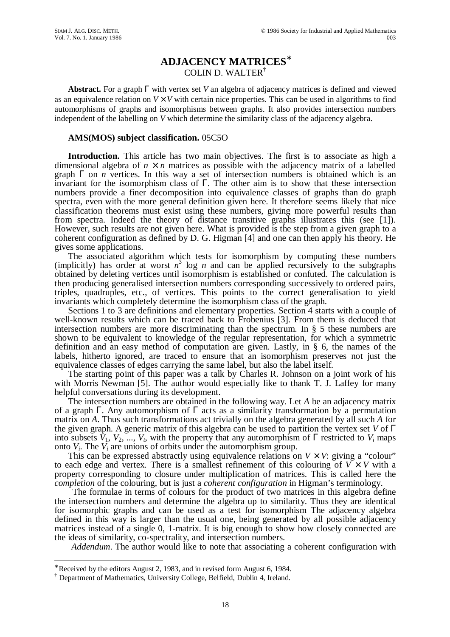# **ADJACENCY MATRICES**<sup>∗</sup> COLIN D. WALTER†

**Abstract.** For a graph Γ with vertex set *V* an algebra of adjacency matrices is defined and viewed as an equivalence relation on  $V \times V$  with certain nice properties. This can be used in algorithms to find automorphisms of graphs and isomorphisms between graphs. It also provides intersection numbers independent of the labelling on *V* which determine the similarity class of the adjacency algebra.

## **AMS(MOS) subject classification.** 05C5O

**Introduction.** This article has two main objectives. The first is to associate as high a dimensional algebra of  $n \times n$  matrices as possible with the adjacency matrix of a labelled graph  $\Gamma$  on *n* vertices. In this way a set of intersection numbers is obtained which is an invariant for the isomorphism class of  $\Gamma$ . The other aim is to show that these intersection numbers provide a finer decomposition into equivalence classes of graphs than do graph spectra, even with the more general definition given here. It therefore seems likely that nice classification theorems must exist using these numbers, giving more powerful results than from spectra. Indeed the theory of distance transitive graphs illustrates this (see [1]). However, such results are not given here. What is provided is the step from a given graph to a coherent configuration as defined by D. G. Higman [4] and one can then apply his theory. He gives some applications.

The associated algorithm which tests for isomorphism by computing these numbers (implicitly) has order at worst  $n^3$  log *n* and can be applied recursively to the subgraphs obtained by deleting vertices until isomorphism is established or confuted. The calculation is then producing generalised intersection numbers corresponding successively to ordered pairs, triples, quadruples, etc., of vertices. This points to the correct generalisation to yield invariants which completely determine the isomorphism class of the graph.

Sections 1 to 3 are definitions and elementary properties. Section 4 starts with a couple of well-known results which can be traced back to Frobenius [3]. From them is deduced that intersection numbers are more discriminating than the spectrum. In § 5 these numbers are shown to be equivalent to knowledge of the regular representation, for which a symmetric definition and an easy method of computation are given. Lastly, in § 6, the names of the labels, hitherto ignored, are traced to ensure that an isomorphism preserves not just the equivalence classes of edges carrying the same label, but also the label itself.

The starting point of this paper was a talk by Charles R. Johnson on a joint work of his with Morris Newman [5]. The author would especially like to thank T. J. Laffey for many helpful conversations during its development.

The intersection numbers are obtained in the following way. Let *A* be an adjacency matrix of a graph Γ. Any automorphism of Γ acts as a similarity transformation by a permutation matrix on *A*. Thus such transformations act trivially on the algebra generated by all such *A* for the given graph. A generic matrix of this algebra can be used to partition the vertex set *V* of Γ into subsets  $V_1$ ,  $V_2$ , ...,  $V_t$ , with the property that any automorphism of  $\Gamma$  restricted to  $V_i$  maps onto *Vi*. The *V<sup>i</sup>* are unions of orbits under the automorphism group.

This can be expressed abstractly using equivalence relations on  $V \times V$ : giving a "colour" to each edge and vertex. There is a smallest refinement of this colouring of  $V \times V$  with a property corresponding to closure under multiplication of matrices. This is called here the *completion* of the colouring, but is just a *coherent configuration* in Higman's terminology.

The formulae in terms of colours for the product of two matrices in this algebra define the intersection numbers and determine the algebra up to similarity. Thus they are identical for isomorphic graphs and can be used as a test for isomorphism The adjacency algebra defined in this way is larger than the usual one, being generated by all possible adjacency matrices instead of a single 0, 1-matrix. It is big enough to show how closely connected are the ideas of similarity, co-spectrality, and intersection numbers.

*Addendum*. The author would like to note that associating a coherent configuration with

 $\overline{a}$ 

<sup>∗</sup> Received by the editors August 2, 1983, and in revised form August 6, 1984.

<sup>†</sup> Department of Mathematics, University College, Belfield, Dublin 4, Ireland.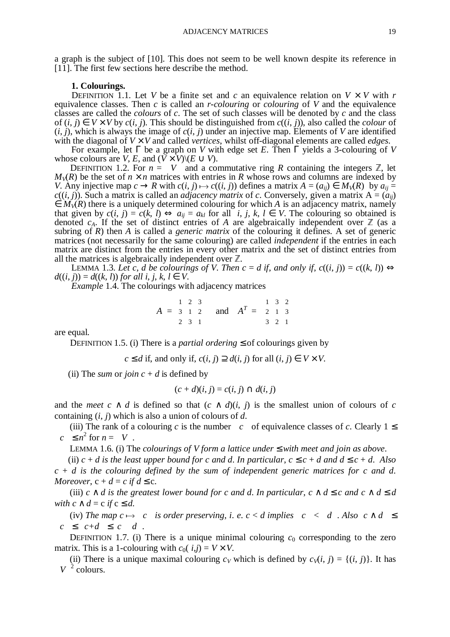a graph is the subject of [10]. This does not seem to be well known despite its reference in

#### **1. Colourings.**

[11]. The first few sections here describe the method.

DEFINITION 1.1. Let *V* be a finite set and *c* an equivalence relation on  $V \times V$  with *r* equivalence classes. Then *c* is called an *r-colouring* or *colouring* of *V* and the equivalence classes are called the *colours* of *c*. The set of such classes will be denoted by *c* and the class of (*i*, *j*) ∈ *V* × *V* by *c*(*i*, *j*). This should be distinguished from *c*((*i*, *j*)), also called the *colour* of  $(i, j)$ , which is always the image of  $c(i, j)$  under an injective map. Elements of *V* are identified with the diagonal of *V* × *V* and called *vertices*, whilst off-diagonal elements are called *edges*.

For example, let Γ be a graph on *V* with edge set *E*. Then Γ yields a 3-colouring of *V* whose colours are *V*, *E*, and  $(V \times V) \setminus (E \cup V)$ .

DEFINITION 1.2. For  $n = |V|$  and a commutative ring *R* containing the integers  $\mathbb{Z}$ , let  $R$ ) be the set of  $n \times n$  matrices with entries in *R* whose rows and columns are indexed by  $M_V(R)$  be the set of  $n \times n$  matrices with entries in *R* whose rows and columns are indexed by *V*. Any injective map  $c \rightarrow R$  with  $c(i, j) \mapsto c((i, j))$  defines a matrix  $A = (a_{ij}) \in M_V(R)$  by  $a_{ij} =$  $c((i, j))$ . Such a matrix is called an *adjacency matrix* of *c*. Conversely, given a matrix  $A = (a_{ij})$  $\in M_V(R)$  there is a uniquely determined colouring for which *A* is an adjacency matrix, namely that given by  $c(i, j) = c(k, l) \Leftrightarrow a_{ii} = a_{kl}$  for all *i*, *j*, *k*,  $l \in V$ . The colouring so obtained is denoted  $c_A$ . If the set of distinct entries of *A* are algebraically independent over  $\mathbb Z$  (as a subring of *R*) then *A* is called a *generic matrix* of the colouring it defines. A set of generic matrices (not necessarily for the same colouring) are called *independent* if the entries in each matrix are distinct from the entries in every other matrix and the set of distinct entries from all the matrices is algebraically independent over  $\mathbb{Z}$ .

LEMMA 1.3. Let c, *d* be colourings of V. Then  $c = d$  if, and only if,  $c((i, j)) = c((k, l)) \Leftrightarrow$  $d((i, j)) = d((k, l))$  *for all i, j, k, l*  $\in V$ .

*Example* 1.4. The colourings with adjacency matrices

$$
A = \begin{pmatrix} 1 & 2 & 3 \\ 3 & 1 & 2 \\ 2 & 3 & 1 \end{pmatrix} \text{ and } AT = \begin{pmatrix} 1 & 3 & 2 \\ 2 & 1 & 3 \\ 3 & 2 & 1 \end{pmatrix}
$$

are equal.

DEFINITION 1.5. (i) There is a *partial ordering* ≤ of colourings given by

$$
c \le d
$$
 if, and only if,  $c(i, j) \supseteq d(i, j)$  for all  $(i, j) \in V \times V$ .

(ii) The *sum* or *join*  $c + d$  is defined by

$$
(c+d)(i,j) = c(i,j) \cap d(i,j)
$$

and the *meet*  $c \wedge d$  is defined so that  $(c \wedge d)(i, j)$  is the smallest union of colours of  $c$ containing (*i*, *j*) which is also a union of colours of *d*.

(iii) The rank of a colouring *c* is the number  $|c|$  of equivalence classes of *c*. Clearly  $1 \le$  $|c| \leq n^2$  for  $n = |V|$ .

LEMMA 1.6. (i) The *colourings of V form a lattice under* ≤ *with meet and join as above*.

(ii)  $c + d$  is the least upper bound for c and d. In particular,  $c \leq c + d$  and  $d \leq c + d$ . Also *c* + *d is the colouring defined by the sum of independent generic matrices for c and d*. *Moreover*,  $c + d = c$  *if*  $d \leq c$ *.* 

(iii) *c*  $\land$  *d* is the greatest lower bound for *c* and *d*. In particular, *c*  $\land$  *d*  $\leq$  *c* and *c*  $\land$  *d*  $\leq$  *d with*  $c \wedge d = c$  *if*  $c \leq d$ .

(iv) The map  $c \mapsto |c|$  is order preserving, *i*. e.  $c < d$  implies  $|c| < |d|$ . Also  $|c \wedge d| \le$  $|c| < |c+d| < |c| |d|$ .

DEFINITION 1.7. (i) There is a unique minimal colouring  $c_0$  corresponding to the zero matrix. This is a 1-colouring with  $c_0(i,j) = V \times V$ .

(ii) There is a unique maximal colouring  $c_V$  which is defined by  $c_V(i, j) = \{(i, j)\}\$ . It has  $|V|^2$  colours.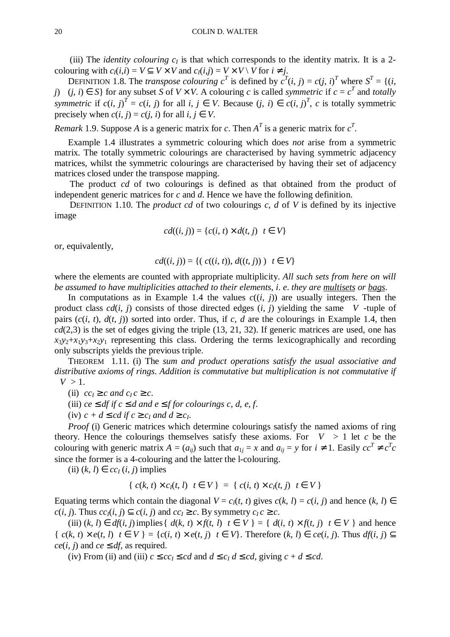(iii) The *identity colouring*  $c_I$  is that which corresponds to the identity matrix. It is a 2colouring with  $c_I(i,i) = V \subseteq V \times V$  and  $c_I(i,j) = V \times V \setminus V$  for  $i \neq j$ .

DEFINITION 1.8. The *transpose colouring*  $c^T$  is defined by  $c^T(i, j) = c(j, i)^T$  where  $S^T = \{(i, j) \in C_j : j \in \mathbb{N}\}$ *j*)  $| (j, i) ∈ S$ } for any subset *S* of *V* × *V*. A colouring *c* is called *symmetric* if  $c = c<sup>T</sup>$  and *totally* symmetric if  $c(i, j)^T = c(i, j)$  for all  $i, j \in V$ . Because  $(j, i) \in c(i, j)^T$ , c is totally symmetric precisely when  $c(i, j) = c(j, i)$  for all  $i, j \in V$ .

*Remark* 1.9. Suppose *A* is a generic matrix for *c*. Then  $A<sup>T</sup>$  is a generic matrix for  $c<sup>T</sup>$ .

Example 1.4 illustrates a symmetric colouring which does *not* arise from a symmetric matrix. The totally symmetric colourings are characterised by having symmetric adjacency matrices, whilst the symmetric colourings are characterised by having their set of adjacency matrices closed under the transpose mapping.

The product *cd* of two colourings is defined as that obtained from the product of independent generic matrices for *c* and *d*. Hence we have the following definition.

DEFINITION 1.10. The *product cd* of two colourings *c*, *d* of *V* is defined by its injective image

$$
cd((i, j)) = \{c(i, t) \times d(t, j) | t \in V\}
$$

or, equivalently,

$$
cd((i, j)) = \{ (c((i, t)), d((t, j))) \mid t \in V \}
$$

where the elements are counted with appropriate multiplicity. *All such sets from here on will be assumed to have multiplicities attached to their elements*, *i*. *e*. *they are multisets or bags*.

In computations as in Example 1.4 the values  $c((i, j))$  are usually integers. Then the product class  $cd(i, j)$  consists of those directed edges  $(i, j)$  yielding the same  $|V|$ -tuple of pairs  $(c(i, t), d(t, i))$  sorted into order. Thus, if *c*, *d* are the colourings in Example 1.4, then  $cd(2,3)$  is the set of edges giving the triple  $(13, 21, 32)$ . If generic matrices are used, one has  $x_3y_2+x_1y_3+x_2y_1$  representing this class. Ordering the terms lexicographically and recording only subscripts yields the previous triple.

THEOREM 1.11. (i) The *sum and product operations satisfy the usual associative and distributive axioms of rings*. *Addition is commutative but multiplication is not commutative if*  $|V| > 1.$ 

- (ii)  $cc_I \geq c$  *and*  $c_I c \geq c$ .
- (iii) *ce*  $\leq$  *df if*  $c \leq d$  *and*  $e \leq f$  *for colourings c, d, e, f.*
- (iv)  $c + d \leq cd$  *if*  $c \geq c_I$  *and*  $d \geq c_I$ .

*Proof* (i) Generic matrices which determine colourings satisfy the named axioms of ring theory. Hence the colourings themselves satisfy these axioms. For  $|V| > 1$  let c be the colouring with generic matrix  $A = (a_{ij})$  such that  $a_{1j} = x$  and  $a_{ij} = y$  for  $i \neq 1$ . Easily  $cc^T \neq c^T c$ since the former is a 4-colouring and the latter the l-colouring.

(ii)  $(k, l) \in cc<sub>I</sub>(i, j)$  implies

$$
\{ c(k, t) \times c_I(t, l) | t \in V \} = \{ c(i, t) \times c_I(t, j) | t \in V \}
$$

Equating terms which contain the diagonal  $V = c_I(t, t)$  gives  $c(k, l) = c(i, j)$  and hence  $(k, l) \in$  $c(i, j)$ . Thus  $cc_1(i, j) \subseteq c(i, j)$  and  $cc_1 \geq c$ . By symmetry  $c_1 c \geq c$ .

(iii)  $(k, l) \in df(i, j)$  implies  $\{ d(k, t) \times f(t, l) | t \in V \} = \{ d(i, t) \times f(t, j) | t \in V \}$  and hence  $\{c(k, t) \times e(t, l) | t \in V\} = \{c(i, t) \times e(t, j) | t \in V\}$ . Therefore  $(k, l) \in ce(i, j)$ . Thus  $df(i, j) \subset V$  $ce(i, j)$  and  $ce \leq df$ , as required.

(iv) From (ii) and (iii)  $c \leq cc$ <sub>*I*</sub>  $\leq cd$  and  $d \leq c$ <sub>*I*</sub> $d \leq cd$ , giving  $c + d \leq cd$ .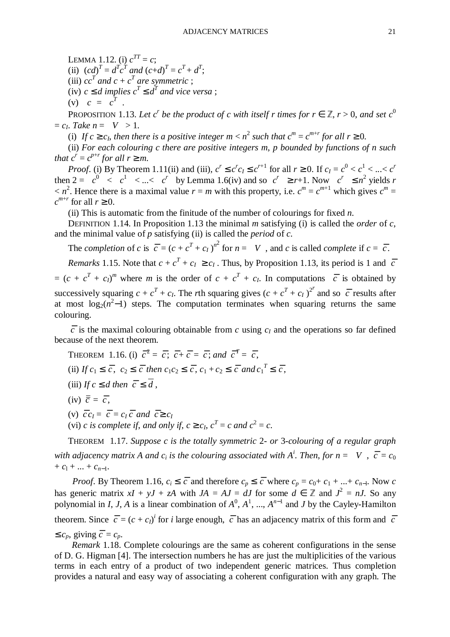LEMMA 1.12. (i)  $c^{TT} = c$ ; (ii)  $(cd)^{T} = d^{T}c^{T}$  and  $(c+d)^{T} = c^{T} + d^{T}$ ; (iii)  $cc^T$  and  $c + c^T$  are symmetric ; (iv)  $c \leq d$  *implies*  $c^T \leq d^T$  *and vice versa* ; (v)  $|c| = |c^T|$ .

PROPOSITION 1.13. Let  $c^r$  be the product of c with itself r times for  $r \in \mathbb{Z}$ ,  $r > 0$ , and set  $c^0$  $= c<sub>I</sub>$ . Take  $n = |V| > 1$ .

(i) If  $c \geq c_I$ , then there is a positive integer  $m < n^2$  such that  $c^m = c^{m+r}$  for all  $r \geq 0$ .

(ii) *For each colouring c there are positive integers m*, *p bounded by functions of n such that*  $c^r = c^{p+r}$  *for all*  $r \geq m$ .

*Proof*. (i) By Theorem 1.11(ii) and (iii),  $c^r \le c^r c \le c^{r+1}$  for all  $r \ge 0$ . If  $c_I = c^0 < c^1 < ... < c^r$ then  $2 = |c^0| < |c^1| < ... < |c^r|$  by Lemma 1.6(iv) and so  $|c^r| \ge r+1$ . Now  $|c^r| \le n^2$  yields r  $\langle n^2 \rangle$ . Hence there is a maximal value  $r = m$  with this property, i.e.  $c^m = c^{m+1}$  which gives  $c^m = c^m$  $c^{m+r}$  for all  $r \geq 0$ .

(ii) This is automatic from the finitude of the number of colourings for fixed *n*.

DEFINITION 1.14. In Proposition 1.13 the minimal *m* satisfying (i) is called the *order* of *c*, and the minimal value of *p* satisfying (ii) is called the *period* of *c*.

The *completion* of *c* is  $\overline{c} = (c + c^T + c_I)^{n^2}$  for  $n = |V|$ , and *c* is called *complete* if  $c = \overline{c}$ .

*Remarks* 1.15. Note that  $c + c^T + c_I \geq c_I$ . Thus, by Proposition 1.13, its period is 1 and  $\overline{c}$  $=(c + c^T + c_I)^m$  where *m* is the order of  $c + c^T + c_I$ . In computations  $\overline{c}$  is obtained by successively squaring  $c + c^T + c_I$ . The *r*th squaring gives  $(c + c^T + c_I)^{2^r}$  and so  $\bar{c}$  results after at most  $log_2(n^2-1)$  steps. The computation terminates when squaring returns the same colouring.

 $\overline{c}$  is the maximal colouring obtainable from *c* using  $c_I$  and the operations so far defined because of the next theorem.

THEOREM 1.16. (i)  $\overline{c}^2 = \overline{c}$ ;  $\overline{c} + \overline{c} = \overline{c}$ ; and  $\overline{c}^T = \overline{c}$ , (ii) If  $c_1 \leq \overline{c}$ ,  $c_2 \leq \overline{c}$  then  $c_1 c_2 \leq \overline{c}$ ,  $c_1 + c_2 \leq \overline{c}$  and  $c_1^T \leq \overline{c}$ , (iii) *If*  $c \le d$  *then*  $\overline{c} \le \overline{d}$ ,  $(iv) \ \overline{\overline{c}} = \overline{c}$ ,

- (v)  $\overline{c}c_I = \overline{c} = c_I \overline{c} \text{ and } \overline{c} \ge c_I$
- (vi) *c is complete if, and only if,*  $c \ge c_I$ *,*  $c^T = c$  *and*  $c^2 = c$ *.*

THEOREM 1.17. *Suppose c is the totally symmetric* 2*- or* 3*-colouring of a regular graph with adjacency matrix A and*  $c_i$  *is the colouring associated with A<sup>i</sup>. Then, for*  $n = |V|$ *,*  $\overline{c} = c_0$  $+ c_1 + ... + c_{n-1}$ .

*Proof.* By Theorem 1.16,  $c_i \leq \overline{c}$  and therefore  $c_p \leq \overline{c}$  where  $c_p = c_0 + c_1 + ... + c_{n-1}$ . Now *c* has generic matrix  $xI + yJ + zA$  with  $JA = AJ = dJ$  for some  $d \in \mathbb{Z}$  and  $J^2 = nJ$ . So any polynomial in *I*, *J*, *A* is a linear combination of  $A^0$ ,  $A^1$ , ...,  $A^{n-1}$  and *J* by the Cayley-Hamilton theorem. Since  $\overline{c} = (c + c_I)^i$  for *i* large enough,  $\overline{c}$  has an adjacency matrix of this form and  $\overline{c}$ ≤  $c_p$ , giving  $\overline{c} = c_p$ .

*Remark* 1.18. Complete colourings are the same as coherent configurations in the sense of D. G. Higman [4]. The intersection numbers he has are just the multiplicities of the various terms in each entry of a product of two independent generic matrices. Thus completion provides a natural and easy way of associating a coherent configuration with any graph. The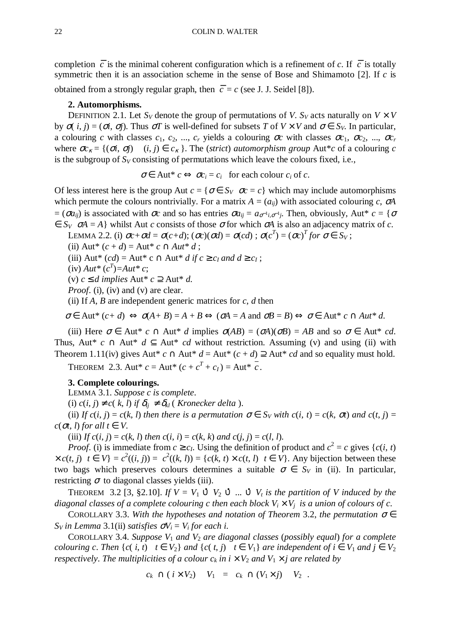completion  $\overline{c}$  is the minimal coherent configuration which is a refinement of *c*. If  $\overline{c}$  is totally symmetric then it is an association scheme in the sense of Bose and Shimamoto [2]. If *c* is obtained from a strongly regular graph, then  $\overline{c} = c$  (see J. J. Seidel [8]).

### **2. Automorphisms.**

DEFINITION 2.1. Let  $S_V$  denote the group of permutations of *V*.  $S_V$  acts naturally on  $V \times V$ by  $σ(i, j) = (σi, σj)$ . Thus  $σT$  is well-defined for subsets *T* of  $V \times V$  and  $σ ∈ S_V$ . In particular, a colouring *c* with classes  $c_1, c_2, ..., c_r$  yields a colouring  $\sigma c$  with classes  $\sigma c_1, \sigma c_2, ..., \sigma c_r$ where  $\sigma c_k = \{(\sigma i, \sigma j) \mid (i, j) \in c_k \}$ . The (*strict*) *automorphism group* Aut<sup>\*</sup>*c* of a colouring *c* is the subgroup of  $S_V$  consisting of permutations which leave the colours fixed, i.e.,

 $\sigma \in$  Aut<sup>\*</sup>  $c \Leftrightarrow \sigma c_i = c_i$  for each colour  $c_i$  of  $c$ .

Of less interest here is the group Aut  $c = \{\sigma \in S_V | \sigma c = c\}$  which may include automorphisms which permute the colours nontrivially. For a matrix  $A = (a_{ij})$  with associated colouring *c*,  $\sigma A$  $= (\sigma a_{ij})$  is associated with  $\sigma c$  and so has entries  $\sigma a_{ij} = a_{\sigma^{-1}i,\sigma^{-1}j}$ . Then, obviously, Aut\*  $c = \{\sigma$  $\epsilon \in S_V$   $\sigma A = A$  whilst Aut *c* consists of those  $\sigma$  for which  $\sigma A$  is also an adjacency matrix of *c*.

LEMMA 2.2. (i)  $\sigma c + \sigma d = \sigma(c+d)$ ;  $(\sigma c)(\sigma d) = \sigma(cd)$ ;  $\sigma(c^T) = (\sigma c)^T for \ \sigma \in S_V$ ;

(ii) Aut<sup>\*</sup>  $(c + d) =$ Aut<sup>\*</sup>  $c \cap$ Aut<sup>\*</sup>  $d$ ;

(iii) Aut<sup>\*</sup> (*cd*) = Aut<sup>\*</sup> **c**  $\cap$  Aut<sup>\*</sup> *d* if  $c \ge c_I$  and  $d \ge c_I$ ;

 $(iv)$  *Aut*<sup>\*</sup>  $(c^T) =$ *Aut*<sup>\*</sup> *c*;

(v)  $c ≤ d$  *implies*  $Aut * c ⊇ Aut * d$ .

*Proof.* (i), (iv) and (v) are clear.

(ii) If  $A$ ,  $B$  are independent generic matrices for  $c$ ,  $d$  then

 $\sigma \in$  Aut\*  $(c+d) \Leftrightarrow \sigma(A+B) = A+B \Leftrightarrow (\sigma A = A \text{ and } \sigma B = B) \Leftrightarrow \sigma \in$  Aut\*  $c \cap Aut^* d$ .

(iii) Here  $\sigma \in$  Aut\* *c*  $\cap$  Aut\* *d* implies  $\sigma(AB) = (\sigma A)(\sigma B) = AB$  and so  $\sigma \in$  Aut\* *cd*. Thus, Aut<sup>\*</sup> *c* ∩ Aut<sup>\*</sup> *d* ⊆ Aut<sup>\*</sup> *cd* without restriction. Assuming (v) and using (ii) with Theorem 1.11(iv) gives Aut<sup>\*</sup>  $c \cap$  Aut<sup>\*</sup>  $d =$  Aut<sup>\*</sup>  $(c + d) \supseteq$  Aut<sup>\*</sup>  $cd$  and so equality must hold.

THEOREM 2.3. Aut\*  $c = \text{Aut}^* (c + c^T + c_I) = \text{Aut}^* c$ .

## **3. Complete colourings.**

LEMMA 3.1. *Suppose c is complete*.

(i)  $c(i, j) \neq c(k, l)$  if  $\delta_{ij} \neq \delta_{kl}$  (*Kronecker delta* ).

(ii) *If*  $c(i, j) = c(k, l)$  *then there is a permutation*  $\sigma \in S_V$  *with*  $c(i, t) = c(k, \sigma t)$  *and*  $c(t, j) = c(k, \sigma t)$  $c(\sigma t, l)$  *for all*  $t \in V$ .

(iii) *If*  $c(i, j) = c(k, l)$  *then*  $c(i, i) = c(k, k)$  *and*  $c(j, j) = c(l, l)$ .

*Proof.* (i) is immediate from  $c \geq c_I$ . Using the definition of product and  $c^2 = c$  gives {*c*(*i*, *t*)  $\langle x c(t, j) | t \in V \rangle = c^2((i, j)) = c^2((k, l)) = (c(k, t) \times c(t, l)) | t \in V$ . Any bijection between these two bags which preserves colours determines a suitable  $\sigma \in S_V$  in (ii). In particular, restricting  $\sigma$  to diagonal classes yields (iii).

THEOREM 3.2 [3, §2.10]. *If*  $V = V_1 \cup V_2 \cup ... \cup V_t$  *is the partition of V induced by the diagonal classes of a complete colouring c then each block*  $V_i \times V_j$  *is a union of colours of c.* 

COROLLARY 3.3. *With the hypotheses and notation of Theorem* 3.2, *the permutation* <sup>σ</sup> ∈  $S_V$ *in Lemma* 3.1(ii) *satisfies*  $\sigma V_i = V_i$  *for each i.* 

COROLLARY 3.4. *Suppose V*<sup>1</sup> *and V*2 *are diagonal classes* (*possibly equal*) *for a complete colouring c. Then*  $\{c(i, t) | t \in V_2\}$  *and*  $\{c(t, j) | t \in V_1\}$  *are independent of i*  $\in V_1$  *and*  $j \in V_2$ *respectively. The multiplicities of a colour*  $c_k$  *in*  $i \times V_2$  *and*  $V_1 \times j$  *are related by* 

$$
|c_k \cap (i \times V_2)| |V_1| = |c_k \cap (V_1 \times j)| |V_2|.
$$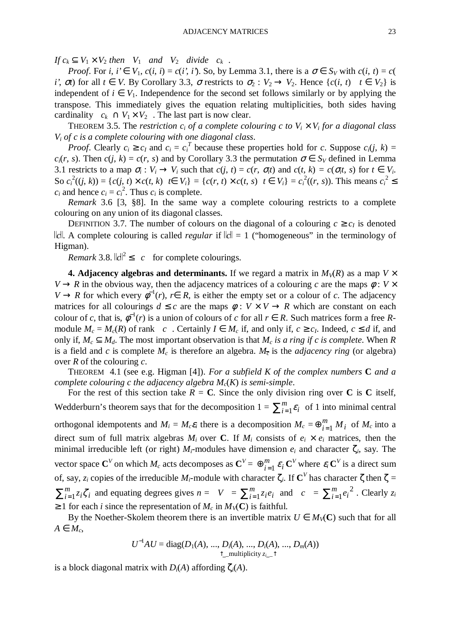*If*  $c_k \subseteq V_1 \times V_2$  *then*  $|V_1|$  *and*  $|V_2|$  *divide*  $|c_k|$ *.* 

*Proof.* For *i*,  $i' \in V_1$ ,  $c(i, i) = c(i', i')$ . So, by Lemma 3.1, there is a  $\sigma \in S_V$  with  $c(i, t) = c(i, t')$ *i'*,  $\sigma t$ ) for all  $t \in V$ . By Corollary 3.3,  $\sigma$  restricts to  $\sigma_2 : V_2 \to V_2$ . Hence  $\{c(i, t) | t \in V_2\}$  is independent of  $i \in V_1$ . Independence for the second set follows similarly or by applying the transpose. This immediately gives the equation relating multiplicities, both sides having cardinality  $c_k \cap V_1 \times V_2$ . The last part is now clear.

THEOREM 3.5. The *restriction*  $c_i$  *of a complete colouring c to*  $V_i \times V_i$  *for a diagonal class Vi of c is a complete colouring with one diagonal class*.

*Proof.* Clearly  $c_i \ge c_I$  and  $c_i = c_i^T$  because these properties hold for *c*. Suppose  $c_i(j, k)$ *c*<sub>*i*</sub>(*r*, *s*). Then *c*(*j*, *k*) = *c*(*r*, *s*) and by Corollary 3.3 the permutation  $\sigma \in S_V$  defined in Lemma 3.1 restricts to a map  $\sigma_i : V_i \to V_i$  such that  $c(j, t) = c(r, \sigma_i t)$  and  $c(t, k) = c(\sigma_i t, s)$  for  $t \in V_i$ . So  $c_i^2((j, k)) = \{c(j, t) \times c(t, k) | t \in V_i\} = \{c(r, t) \times c(t, s) | t \in V_i\} = c_i^2((r, s))$ . This means  $c_i^2 \leq$  $c_i$  and hence  $c_i = c_i^2$ . Thus  $c_i$  is complete.

*Remark* 3.6 [3, §8]. In the same way a complete colouring restricts to a complete colouring on any union of its diagonal classes.

DEFINITION 3.7. The number of colours on the diagonal of a colouring  $c \geq c_I$  is denoted  $\|c\|$ . A complete colouring is called *regular* if  $\|c\| = 1$  ("homogeneous" in the terminology of Higman).

*Remark* 3.8.  $||c||^2 \le |c|$  for complete colourings.

**4. Adjacency algebras and determinants.** If we regard a matrix in  $M_V(R)$  as a map  $V \times$  $V \rightarrow R$  in the obvious way, then the adjacency matrices of a colouring *c* are the maps  $\phi : V \times$  $V \to R$  for which every  $\phi^{-1}(r)$ ,  $r \in R$ , is either the empty set or a colour of *c*. The adjacency matrices for all colourings  $d \leq c$  are the maps  $\phi : V \times V \rightarrow R$  which are constant on each colour of *c*, that is,  $\varphi^{-1}(r)$  is a union of colours of *c* for all  $r \in R$ . Such matrices form a free Rmodule  $M_c = M_c(R)$  of rank  $|c|$ . Certainly  $I \in M_c$  if, and only if,  $c \geq c_I$ . Indeed,  $c \leq d$  if, and only if,  $M_c \subseteq M_d$ . The most important observation is that  $M_c$  *is a ring if c is complete*. When *R* is a field and *c* is complete  $M_c$  is therefore an algebra.  $M_{\overline{c}}$  is the *adjacency ring* (or algebra) over *R* of the colouring *c*.

THEOREM 4.1 (see e.g. Higman [4]). *For a subfield K of the complex numbers* **C** *and a complete colouring c the adjacency algebra Mc*(*K*) *is semi-simple*.

For the rest of this section take  $R = C$ . Since the only division ring over C is C itself, Wedderburn's theorem says that for the decomposition  $1 = \sum_{i=1}^{m}$  $\sum_{i=1}^{m} \varepsilon_i$  of 1 into minimal central orthogonal idempotents and  $M_i = M_c \varepsilon_i$  there is a decomposition  $M_c = \bigoplus_{i=1}^m M_i$  of  $M_c$  into a direct sum of full matrix algebras  $M_i$  over C. If  $M_i$  consists of  $e_i \times e_i$  matrices, then the minimal irreducible left (or right)  $M_i$ -modules have dimension  $e_i$  and character  $\zeta_i$ , say. The vector space  $\textbf{C}^V$  on which  $M_c$  acts decomposes as  $\textbf{C}^V = \bigoplus_{i=1}^m \pmb{\varepsilon}_i$  $\bigoplus_{i=1}^{m} \varepsilon_i \mathbf{C}^V$  where  $\varepsilon_i \mathbf{C}^V$  is a direct sum of, say, *zi* copies of the irreducible *Mi*-module with character ζ*i*. If **C** *V* has character ζ then ζ = *i m*  $\sum_{i=1}^{m} z_i \zeta_i$  and equating degrees gives  $n = |V| = \sum_{i=1}^{m} z_i$  $\left| \begin{array}{c} m \\ i=1 \end{array} \right|$  *z*<sub>i</sub>  $e_i$  and  $\left| c \right| = \sum_{i=1}^m$  $\sum_{i=1}^m e_i$  $2$ . Clearly  $z_i$  $\geq 1$  for each *i* since the representation of  $M_c$  in  $M_V(C)$  is faithful.

By the Noether-Skolem theorem there is an invertible matrix  $U \in M_V(\mathbb{C})$  such that for all  $A ∈ M_c$ 

$$
U^{-1}AU = diag(D_1(A), ..., D_i(A), ..., D_i(A), ..., D_m(A))
$$
  
\n
$$
\uparrow \_ \text{multiplicity } z_{i-} \uparrow
$$

is a block diagonal matrix with  $D_i(A)$  affording  $\zeta_i(A)$ .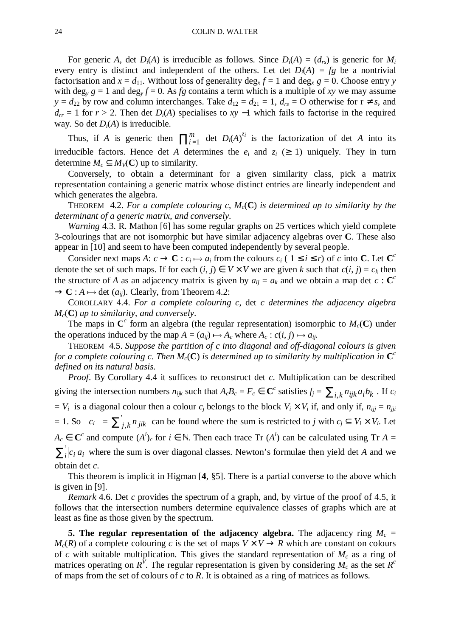For generic *A*, det  $D_i(A)$  is irreducible as follows. Since  $D_i(A) = (d_{rs})$  is generic for  $M_i$ every entry is distinct and independent of the others. Let det  $D_i(A) = fg$  be a nontrivial factorisation and  $x = d_{11}$ . Without loss of generality deg<sub>*x*</sub>  $f = 1$  and deg<sub>*x*</sub>  $g = 0$ . Choose entry *y* with deg<sub>y</sub>  $g = 1$  and deg<sub>y</sub>  $f = 0$ . As *fg* contains a term which is a multiple of *xy* we may assume *y* =  $d_{22}$  by row and column interchanges. Take  $d_{12} = d_{21} = 1$ ,  $d_{rs} = 0$  otherwise for  $r \neq s$ , and  $d_{rr}$  = 1 for *r* > 2. Then det *D*<sub>*i*</sub>(*A*) specialises to *xy* −1 which fails to factorise in the required way. So det  $D_i(A)$  is irreducible.

Thus, if *A* is generic then  $\prod_{i=1}^{m}$  $\sum_{i=1}^{m}$  det *D*<sub>*i*</sub>(*A*)<sup>*z<sub>i</sub>*</sup> is the factorization of det *A* into its irreducible factors. Hence det *A* determines the  $e_i$  and  $z_i$  ( $\geq$  1) uniquely. They in turn determine  $M_c \subset M_v(\mathbb{C})$  up to similarity.

Conversely, to obtain a determinant for a given similarity class, pick a matrix representation containing a generic matrix whose distinct entries are linearly independent and which generates the algebra.

THEOREM 4.2. *For a complete colouring c*, *Mc*(**C**) *is determined up to similarity by the determinant of a generic matrix*, *and conversely*.

*Warning* 4.3. R. Mathon [6] has some regular graphs on 25 vertices which yield complete 3-colourings that are not isomorphic but have similar adjacency algebras over **C**. These also appear in [10] and seem to have been computed independently by several people.

Consider next maps  $A: c \to \mathbf{C}: c_i \mapsto a_i$  from the colours  $c_i$  (  $1 \le i \le r$ ) of *c* into **C**. Let  $\mathbf{C}^c$ denote the set of such maps. If for each  $(i, j) \in V \times V$  we are given *k* such that  $c(i, j) = c_k$  then the structure of *A* as an adjacency matrix is given by  $a_{ij} = a_k$  and we obtain a map det  $c : \mathbb{C}^c$  $\rightarrow$  **C**: *A*  $\rightarrow$  det (*a<sub>ij</sub>*). Clearly, from Theorem 4.2:

COROLLARY 4.4. *For a complete colouring c*, det *c determines the adjacency algebra Mc*(**C**) *up to similarity*, *and conversely*.

The maps in  $\mathbb{C}^c$  form an algebra (the regular representation) isomorphic to  $M_c(\mathbb{C})$  under the operations induced by the map  $A = (a_{ij}) \mapsto A_c$  where  $A_c : c(i, j) \mapsto a_{ij}$ .

THEOREM 4.5. *Suppose the partition of c into diagonal and off-diagonal colours is given for a complete colouring c. Then*  $M_c(C)$  *is determined up to similarity by multiplication in*  $C^c$ *defined on its natural basis*.

*Proof.* By Corollary 4.4 it suffices to reconstruct det *c*. Multiplication can be described giving the intersection numbers  $n_{ijk}$  such that  $A_cB_c = F_c \in \mathbb{C}^c$  satisfies  $f_j = \sum_{i,k} n_{ijk} a_i b_k$ . If  $c_i$  $V_i$  is a diagonal colour then a colour  $c_j$  belongs to the block  $V_i \times V_i$  if, and only if,  $n_{ijj} = n_{jji}$  $= 1.$  So  $|c_i| = \sum_{i=1}^{n}$  $j, k$  *n jik* can be found where the sum is restricted to *j* with  $c_j \subseteq V_i \times V_i$ . Let  $A_c \in \mathbb{C}^c$  and compute  $(A^i)_c$  for  $i \in \mathbb{N}$ . Then each trace Tr  $(A^i)$  can be calculated using Tr  $A =$  $\sum_{i}^{6} |c_i|a_i$  where the sum is over diagonal classes. Newton's formulae then yield det *A* and we obtain det *c*.

This theorem is implicit in Higman [**4**, §5]. There is a partial converse to the above which is given in [9].

*Remark* 4.6. Det *c* provides the spectrum of a graph, and, by virtue of the proof of 4.5, it follows that the intersection numbers determine equivalence classes of graphs which are at least as fine as those given by the spectrum.

**5. The regular representation of the adjacency algebra.** The adjacency ring  $M_c$  =  $M_c(R)$  of a complete colouring c is the set of maps  $V \times V \rightarrow R$  which are constant on colours of *c* with suitable multiplication. This gives the standard representation of *M<sup>c</sup>* as a ring of matrices operating on  $R^{\tilde{V}}$ . The regular representation is given by considering  $M_c$  as the set  $R^c$ of maps from the set of colours of *c* to *R*. It is obtained as a ring of matrices as follows.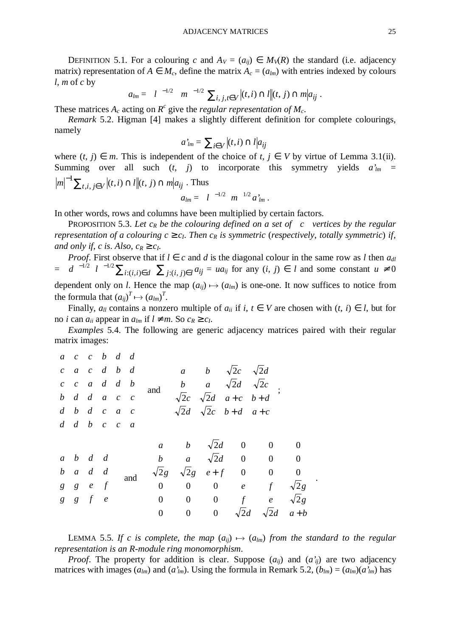DEFINITION 5.1. For a colouring *c* and  $A_V = (a_{ij}) \in M_V(R)$  the standard (i.e. adjacency matrix) representation of  $A \in M_c$ , define the matrix  $A_c = (a_{lm})$  with entries indexed by colours *l*, *m* of *c* by

$$
a_{lm} = |l|^{-1/2} |m|^{-1/2} \sum_{i,j,t \in V} |(t,i) \cap l|(t,j) \cap m|a_{ij}.
$$

These matrices  $A_c$  acting on  $R^c$  give the *regular representation of*  $M_c$ .

*Remark* 5.2. Higman [4] makes a slightly different definition for complete colourings, namely

$$
a'_{lm} = \sum_{i \in V} |(t, i) \cap l| a_{ij}
$$

where  $(t, j) \in m$ . This is independent of the choice of  $t, j \in V$  by virtue of Lemma 3.1(ii). Summing over all such  $(t, j)$  to incorporate this symmetry yields  $a'_{lm}$  =  $m^{-1} \sum_{t,i, j \in V} |(t,i) \cap l|(t,j) \cap m|a_{ij}$  $\sum_{t,i}$   $\sum_{i\in V} |(t,i) \cap l|(t,j) \cap m|a_{ij}$ . Thus

$$
a_{lm} = |l|^{-1/2} |m|^{1/2} a_{lm}.
$$

In other words, rows and columns have been multiplied by certain factors.

PROPOSITION 5.3. Let  $c_R$  be the colouring defined on a set of  $|c|$  vertices by the regular *representation of a colouring*  $c \geq c_I$ *. Then*  $c_R$  *is symmetric (<i>respectively, totally symmetric*) *if, and only if, c is. Also,*  $c_R \geq c_I$ *.* 

*Proof.* First observe that if  $l \in c$  and *d* is the diagonal colour in the same row as *l* then  $a_{dl}$  $= |d|^{-1/2} |l|^{-1/2} \sum_{i:(i,j)\in d} \sum_{j:(i,j)\in l} a_{ij} = ua_{ij}$  for any  $(i, j) \in l$  and some constant  $u \neq 0$ dependent only on *l*. Hence the map  $(a_{ij}) \mapsto (a_{lm})$  is one-one. It now suffices to notice from the formula that  $(a_{ij})^T \mapsto (a_{lm})^T$ .

Finally,  $a_{ll}$  contains a nonzero multiple of  $a_{il}$  if  $i, t \in V$  are chosen with  $(t, i) \in l$ , but for no *i* can  $a_{ii}$  appear in  $a_{lm}$  if  $l \neq m$ . So  $c_R \geq c_l$ .

*Examples* 5.4. The following are generic adjacency matrices paired with their regular matrix images:

|  | $a \quad c \quad c \quad b \quad d \quad d$ |  |                                                                                |                                                                                |                |          |             |                                                                                                                                                                                                                                                                                                                  |       |
|--|---------------------------------------------|--|--------------------------------------------------------------------------------|--------------------------------------------------------------------------------|----------------|----------|-------------|------------------------------------------------------------------------------------------------------------------------------------------------------------------------------------------------------------------------------------------------------------------------------------------------------------------|-------|
|  |                                             |  | $\begin{vmatrix} c & a & c & d & b & d \end{vmatrix}$                          |                                                                                |                |          |             |                                                                                                                                                                                                                                                                                                                  |       |
|  |                                             |  | $\begin{vmatrix} c & c & a & d & d & b \\ b & d & d & a & c & c \end{vmatrix}$ |                                                                                |                |          |             |                                                                                                                                                                                                                                                                                                                  |       |
|  |                                             |  |                                                                                |                                                                                |                |          |             | and $\begin{bmatrix} a & b & \sqrt{2}c & \sqrt{2}d \\ b & a & \sqrt{2}d & \sqrt{2}c \\ \sqrt{2}c & \sqrt{2}d & a+c & b+d \\ \sqrt{2}d & \sqrt{2}c & b+d & a+c \end{bmatrix}$ ;                                                                                                                                   |       |
|  |                                             |  |                                                                                | $\begin{bmatrix} d & b & d & c & a & c \\ d & d & b & c & c & a \end{bmatrix}$ |                |          |             |                                                                                                                                                                                                                                                                                                                  |       |
|  |                                             |  |                                                                                |                                                                                |                |          |             |                                                                                                                                                                                                                                                                                                                  |       |
|  |                                             |  |                                                                                |                                                                                |                |          |             | $\begin{bmatrix} a & b & d & d \\ b & a & d & d \\ g & g & e & f \\ g & g & f & e \end{bmatrix}$ and $\begin{bmatrix} a & b & \sqrt{2}d & 0 & 0 & 0 \\ b & a & \sqrt{2}d & 0 & 0 & 0 \\ \sqrt{2}g & \sqrt{2}g & e+f & 0 & 0 & 0 \\ 0 & 0 & 0 & e & f & \sqrt{2}g \\ 0 & 0 & 0 & f & e & \sqrt{2}g \end{bmatrix}$ |       |
|  |                                             |  |                                                                                |                                                                                |                |          |             |                                                                                                                                                                                                                                                                                                                  |       |
|  |                                             |  |                                                                                |                                                                                |                |          |             |                                                                                                                                                                                                                                                                                                                  |       |
|  |                                             |  |                                                                                |                                                                                |                |          |             |                                                                                                                                                                                                                                                                                                                  |       |
|  |                                             |  |                                                                                |                                                                                |                |          |             |                                                                                                                                                                                                                                                                                                                  |       |
|  |                                             |  |                                                                                | $\boldsymbol{0}$                                                               | $\overline{0}$ | $\bf{0}$ | $\sqrt{2d}$ | $\sqrt{2}d$                                                                                                                                                                                                                                                                                                      | $a+b$ |

LEMMA 5.5. If c is complete, the map  $(a_{ij}) \mapsto (a_{lm})$  from the standard to the regular *representation is an R-module ring monomorphism*.

.

*Proof.* The property for addition is clear. Suppose  $(a_{ii})$  and  $(a'_{ii})$  are two adjacency matrices with images  $(a_{lm})$  and  $(a'_{lm})$ . Using the formula in Remark 5.2,  $(b_{lm}) = (a_{lm})(a'_{lm})$  has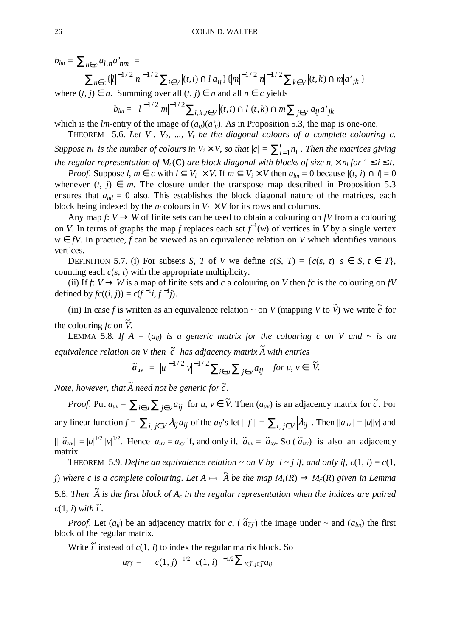$b_{lm} = \sum_{n \in c} a_{l,n} a_{nm}^* =$ 

$$
\sum_{n \in c} {\{|l|}^{-1/2} |n|}^{-1/2} \sum_{i \in V} |(t,i) \cap l| a_{ij} {\}{{\{|m|}^{-1/2} |n|}^{-1/2}} \sum_{k \in V} |(t,k) \cap m| a_{jk} {\}
$$

where  $(t, j)$  ∈ *n*. Summing over all  $(t, j)$  ∈ *n* and all  $n \in c$  yields

 $b_{lm} = |l|^{-1/2} |m|^{-1/2} \sum_{i,k,t \in V} |(t,i) \cap l|(t,k) \cap m| \sum_{j \in V} a_{ij} a^*_{jk}$  $\sum_{i=1}^{1/2} |m|^{-1/2} \sum_{i,k} |k| t \in V |(t,i) \cap l| |(t,k) \cap m| \sum_{i \in V} a_{ij} a^{k}$ 

which is the *lm*-entry of the image of  $(a_{ii})(a'_{ii})$ . As in Proposition 5.3, the map is one-one. THEOREM 5.6. Let  $V_1$ ,  $V_2$ , ...,  $V_t$  be the diagonal colours of a complete colouring c.

*Suppose n<sub>i</sub> is the number of colours in*  $V_i \times V$ *, so that*  $|c| = \sum_{i=1}^t V_i$  $\int_{i=1}^{l} n_i$  . Then the matrices giving *the regular representation of*  $M_c$ (C) are block diagonal with blocks of size  $n_i \times n_i$  for  $1 \le i \le t$ .

*Proof.* Suppose *l*,  $m \in c$  with  $l \subseteq V_i \times V$ . If  $m \subseteq V_i \times V$  then  $a_{lm} = 0$  because  $|(t, i) \cap l| = 0$ whenever  $(t, j) \in m$ . The closure under the transpose map described in Proposition 5.3 ensures that  $a_{ml} = 0$  also. This establishes the block diagonal nature of the matrices, each block being indexed by the  $n_i$  colours in  $V_i \times V$  for its rows and columns.

Any map  $f: V \to W$  of finite sets can be used to obtain a colouring on *fV* from a colouring on *V*. In terms of graphs the map *f* replaces each set  $f^{-1}(w)$  of vertices in *V* by a single vertex *w* ∈ *fV*. In practice, *f* can be viewed as an equivalence relation on *V* which identifies various vertices.

DEFINITION 5.7. (i) For subsets *S*, *T* of *V* we define  $c(S, T) = \{c(s, t) | s \in S, t \in T\}$ , counting each *c*(*s*, *t*) with the appropriate multiplicity.

(ii) If  $f: V \to W$  is a map of finite sets and *c* a colouring on *V* then *fc* is the colouring on *fV* defined by  $fc((i, j)) = c(f^{-1}i, f^{-1}j)$ .

(iii) In case *f* is written as an equivalence relation  $\sim$  on *V* (mapping *V* to  $\tilde{V}$ ) we write  $\tilde{c}$  for the colouring  $fc$  on  $\tilde{V}$ .

LEMMA 5.8. If  $A = (a_{ij})$  is a generic matrix for the colouring c on V and  $\sim$  is an *equivalence relation on V then c* ~  *has adjacency matrix A*<sup>~</sup>  *with entries*

$$
\widetilde{a}_{uv} = |u|^{-1/2} |v|^{-1/2} \sum_{i \in u} \sum_{j \in v} a_{ij} \quad \text{for } u, v \in \widetilde{V}.
$$

Note, however, that  $\widetilde{A}$  need not be generic for  $\widetilde{c}$  .

*Proof.* Put  $a_{uv} = \sum_{i \in u} \sum_{j \in v} a_{ij}$  for  $u, v \in \tilde{V}$ . Then  $(a_{uv})$  is an adjacency matrix for  $\tilde{c}$ . For any linear function  $f = \sum_{i,j \in V} \lambda_{ij} a_{ij}$  of the  $a_{ij}$ 's let  $||f|| = \sum_{i,j \in V} |\lambda_{ij}|$ . Then  $||a_{uv}|| = |u||v|$  and  $|| \tilde{a}_{uv} || = |u|^{1/2} |v|^{1/2}$ . Hence  $a_{uv} = a_{xy}$  if, and only if,  $\tilde{a}_{uv} = \tilde{a}_{xy}$ . So ( $\tilde{a}_{uv}$ ) is also an adjacency matrix.

THEOREM 5.9. *Define an equivalence relation ~ on V by*  $i \sim j$  *if, and only if,*  $c(1, i) = c(1, i)$ *j*) where c is a complete colouring. Let  $A \mapsto \tilde{A}$  be the map  $M_c(R) \rightarrow M_{\tilde{c}}(R)$  given in Lemma 5.8. Then  $\widetilde{A}$  is the first block of  $A_c$  in the regular representation when the indices are paired  $c(1, i)$  with  $\tilde{i}$ .

*Proof.* Let  $(a_{ij})$  be an adjacency matrix for *c*,  $(\tilde{a}_{\tilde{i}\tilde{j}})$  the image under ~ and  $(a_{lm})$  the first block of the regular matrix.

Write  $\tilde{i}$  instead of  $c(1, i)$  to index the regular matrix block. So

$$
a_{\tilde{i}\tilde{j}} = |c(1,j)|^{1/2} |c(1,i)|^{-1/2} \sum_{i \in \tilde{i}, j \in \tilde{j}} a_{ij}
$$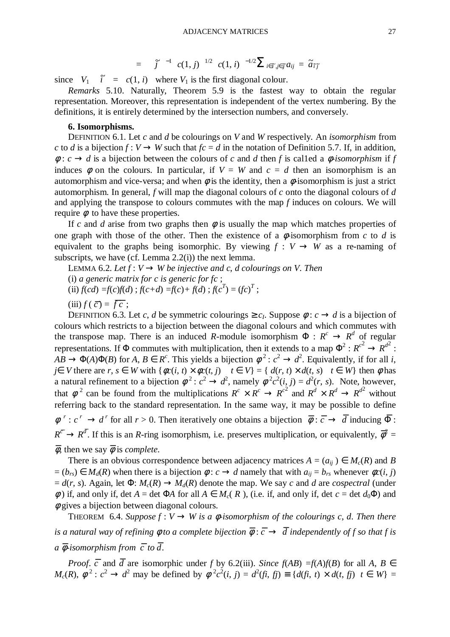$$
= |f|^{-1} |c(1,j)|^{1/2} |c(1,i)|^{-1/2} \sum_{i \in \tilde{i}, j \in \tilde{j}} a_{ij} = \tilde{a}_{\tilde{i}\tilde{j}}
$$

since  $|V_1| |\tilde{r}| = |c(1, i)|$  where  $V_1$  is the first diagonal colour.

*Remarks* 5.10. Naturally, Theorem 5.9 is the fastest way to obtain the regular representation. Moreover, this representation is independent of the vertex numbering. By the definitions, it is entirely determined by the intersection numbers, and conversely.

### **6. Isomorphisms.**

DEFINITION 6.1. Let *c* and *d* be colourings on *V* and *W* respectively. An *isomorphism* from *c* to *d* is a bijection  $f: V \to W$  such that  $fc = d$  in the notation of Definition 5.7. If, in addition,  $\phi$ : *c*  $\rightarrow$  *d* is a bijection between the colours of *c* and *d* then *f* is called a  $\phi$ -isomorphism if *f* induces  $\phi$  on the colours. In particular, if  $V = W$  and  $c = d$  then an isomorphism is an automorphism and vice-versa; and when  $\phi$  is the identity, then a  $\phi$ -isomorphism is just a strict automorphism. In general, *f* will map the diagonal colours of *c* onto the diagonal colours of *d* and applying the transpose to colours commutes with the map *f* induces on colours. We will require φto have these properties.

If *c* and *d* arise from two graphs then  $\phi$  is usually the map which matches properties of one graph with those of the other. Then the existence of a  $\phi$ -isomorphism from *c* to *d* is equivalent to the graphs being isomorphic. By viewing  $f : V \to W$  as a re-naming of subscripts, we have (cf. Lemma 2.2(i)) the next lemma.

LEMMA 6.2. Let  $f: V \to W$  be injective and c, d colourings on V. Then

(i) *a generic matrix for c is generic for fc* ;

(ii)  $f(cd) = f(c)f(d)$ ;  $f(c+d) = f(c) + f(d)$ ;  $f(c^T) = (fc)^T$ ;

 $(iii) f(\overline{c}) = \overline{fc}$ ;

DEFINITION 6.3. Let *c*, *d* be symmetric colourings  $\ge c_I$ . Suppose  $\phi: c \to d$  is a bijection of colours which restricts to a bijection between the diagonal colours and which commutes with the transpose map. There is an induced *R*-module isomorphism  $\Phi : R^c \to R^d$  of regular representations. If  $\Phi$  commutes with multiplication, then it extends to a map  $\Phi^2$ :  $R^{c^2} \to R^{d^2}$ :  $AB \to \Phi(A)\Phi(B)$  for  $A, B \in R^c$ . This yields a bijection  $\phi^2$ :  $c^2 \to d^2$ . Equivalently, if for all *i*,  $j \in V$  there are  $r, s \in W$  with  $\{\phi c(i, t) \times \phi c(t, j) \mid t \in V\} = \{ d(r, t) \times d(t, s) \mid t \in W\}$  then  $\phi$  has a natural refinement to a bijection  $\phi^2$ :  $c^2 \rightarrow d^2$ , namely  $\phi^2 c^2(i, j) = d^2(r, s)$ . Note, however, that  $\phi^2$  can be found from the multiplications  $R^c \times R^c \to R^{c^2}$  and  $R^d \times R^d \to R^{d^2}$  without referring back to the standard representation. In the same way, it may be possible to define  $\phi^r$ :  $c^r \to d^r$  for all  $r > 0$ . Then iteratively one obtains a bijection  $\overline{\phi}$ :  $\overline{c} \to \overline{d}$  inducing  $\overline{\Phi}$ :  $R^{\bar{c}} \to R^{\bar{d}}$ . If this is an *R*-ring isomorphism, i.e. preserves multiplication, or equivalently,  $\bar{\phi}^2$  =  $\overline{\phi}$ , then we say  $\overline{\phi}$  is *complete*.

There is an obvious correspondence between adjacency matrices  $A = (a_{ii}) \in M_c(R)$  and *B*  $= (b_{rs}) \in M_d(R)$  when there is a bijection  $\phi : c \to d$  namely that with  $a_{ij} = b_{rs}$  whenever  $\phi c(i, j)$  $d(x, s)$ . Again, let  $\Phi: M_c(R) \to M_d(R)$  denote the map. We say *c* and *d* are *cospectral* (under  $φ$ ) if, and only if, det *A* = det Φ*A* for all *A* ∈ *M<sub>c</sub>*(*R*), (i.e. if, and only if, det *c* = det *d*<sub>0</sub>Φ) and  $\phi$  gives a bijection between diagonal colours.

THEOREM 6.4. *Suppose*  $f: V \to W$  is a  $\phi$ -isomorphism of the colourings c, d. Then there is a natural way of refining  $\phi$  to a complete bijection  $\overline{\phi}$  :  $\overline{c} \to \overline{d}$  independently of f so that f is *a*  $\overline{\phi}$ -isomorphism from  $\overline{c}$  to  $\overline{d}$  .

*Proof.*  $\overline{c}$  and  $\overline{d}$  are isomorphic under *f* by 6.2(iii). *Since f*(*AB*) =*f*(*A*)*f*(*B*) for all *A*, *B*  $\in$  $M_c(R)$ ,  $\phi^2$ :  $c^2 \rightarrow d^2$  may be defined by  $\phi^2 c^2(i, j) = d^2(j, j) \equiv \{d(j, t) \times d(t, j) | t \in W\}$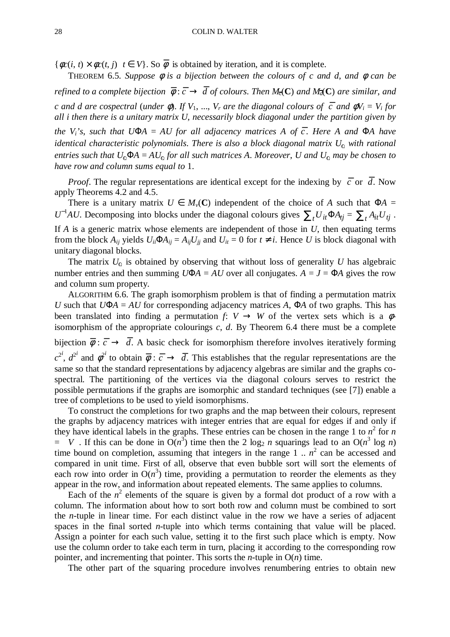${\phi c(i, t) \times \phi c(t, j) | t \in V}$ . So  $\overline{\phi}$  is obtained by iteration, and it is complete.

THEOREM 6.5. *Suppose* φ *is a bijection between the colours of c and d*, *and* φ *can be refined to a complete bijection*  $\bar{\phi}$  :  $\bar{c} \to \bar{d}$  *of colours. Then*  $M_{\bar{c}}(C)$  *and*  $M_{\bar{d}}(C)$  *are similar, and c* and *d* are cospectral (under  $\phi$ ). If  $V_1$ , ...,  $V_r$  are the diagonal colours of  $\overline{c}$  and  $\phi V_i = V_i$  for *all i then there is a unitary matrix U*, *necessarily block diagonal under the partition given by*  $\mathbf{v}_i$ <sup>*'s*</sup>, such that U $\Phi$ A = AU for all adjacency matrices A of  $\overline{c}$ . Here A and  $\Phi$ A have *identical characteristic polynomials. There is also a block diagonal matrix*  $U_0$  *with rational entries such that*  $U_0 \Phi A = AU_0$  *for all such matrices A. Moreover, U and*  $U_0$  *may be chosen to have row and column sums equal to* 1.

*Proof*. The regular representations are identical except for the indexing by  $\bar{c}$  or  $\bar{d}$ . Now apply Theorems 4.2 and 4.5.

There is a unitary matrix  $U \in M_v(\mathbb{C})$  independent of the choice of *A* such that  $\Phi A =$ *U*<sup>-1</sup>*AU*. Decomposing into blocks under the diagonal colours gives  $\sum_t U_{it} \Phi A_{tj} = \sum_t A_{it} U_{tj}$ . If  $A$  is a generic matrix whose elements are independent of those in  $U$ , then equating terms from the block  $A_{ij}$  yields  $U_{ii} \Phi A_{ij} = A_{ij} U_{jj}$  and  $U_{it} = 0$  for  $t \neq i$ . Hence *U* is block diagonal with unitary diagonal blocks.

The matrix  $U_0$  is obtained by observing that without loss of generality *U* has algebraic number entries and then summing  $U\Phi A = AU$  over all conjugates.  $A = J = \Phi A$  gives the row and column sum property.

ALGORITHM 6.6. The graph isomorphism problem is that of finding a permutation matrix *U* such that  $U\Phi A = AU$  for corresponding adjacency matrices *A*,  $\Phi A$  of two graphs. This has been translated into finding a permutation *f*:  $V \rightarrow W$  of the vertex sets which is a  $\phi$ isomorphism of the appropriate colourings *c*, *d*. By Theorem 6.4 there must be a complete bijection  $\bar{\phi}$  :  $\bar{c}$   $\rightarrow$   $\bar{d}$ . A basic check for isomorphism therefore involves iteratively forming  $c^{2i}$ ,  $d^{2i}$  and  $\phi^{2i}$  to obtain  $\overline{\phi}$  :  $\overline{c}$   $\rightarrow$   $\overline{d}$ . This establishes that the regular representations are the same so that the standard representations by adjacency algebras are similar and the graphs cospectral. The partitioning of the vertices via the diagonal colours serves to restrict the possible permutations if the graphs are isomorphic and standard techniques (see [7]) enable a tree of completions to be used to yield isomorphisms.

To construct the completions for two graphs and the map between their colours, represent the graphs by adjacency matrices with integer entries that are equal for edges if and only if they have identical labels in the graphs. These entries can be chosen in the range 1 to  $n^2$  for *n*  $= |V|$ . If this can be done in  $O(n^3)$  time then the 2 log<sub>2</sub> *n* squarings lead to an  $O(n^3 \log n)$ time bound on completion, assuming that integers in the range  $1 \dots n^2$  can be accessed and compared in unit time. First of all, observe that even bubble sort will sort the elements of each row into order in  $O(n^3)$  time, providing a permutation to reorder the elements as they appear in the row, and information about repeated elements. The same applies to columns.

Each of the  $n^2$  elements of the square is given by a formal dot product of a row with a column. The information about how to sort both row and column must be combined to sort the *n*-tuple in linear time. For each distinct value in the row we have a series of adjacent spaces in the final sorted *n*-tuple into which terms containing that value will be placed. Assign a pointer for each such value, setting it to the first such place which is empty. Now use the column order to take each term in turn, placing it according to the corresponding row pointer, and incrementing that pointer. This sorts the *n*-tuple in O(*n*) time.

The other part of the squaring procedure involves renumbering entries to obtain new